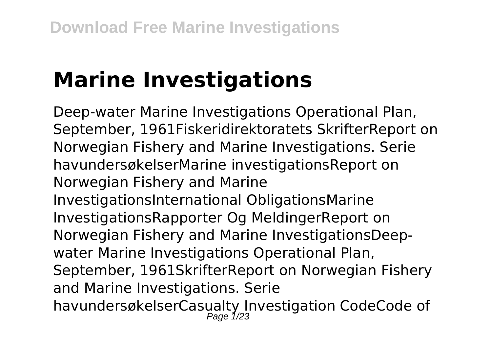# **Marine Investigations**

Deep-water Marine Investigations Operational Plan, September, 1961Fiskeridirektoratets SkrifterReport on Norwegian Fishery and Marine Investigations. Serie havundersøkelserMarine investigationsReport on Norwegian Fishery and Marine InvestigationsInternational ObligationsMarine InvestigationsRapporter Og MeldingerReport on Norwegian Fishery and Marine InvestigationsDeepwater Marine Investigations Operational Plan, September, 1961SkrifterReport on Norwegian Fishery and Marine Investigations. Serie havundersøkelserCasualty Investigation CodeCode of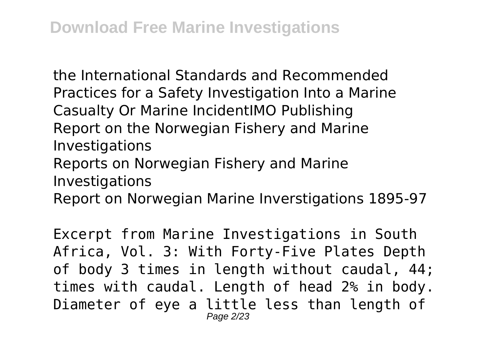the International Standards and Recommended Practices for a Safety Investigation Into a Marine Casualty Or Marine IncidentIMO Publishing Report on the Norwegian Fishery and Marine Investigations

Reports on Norwegian Fishery and Marine Investigations

Report on Norwegian Marine Inverstigations 1895-97

Excerpt from Marine Investigations in South Africa, Vol. 3: With Forty-Five Plates Depth of body 3 times in length without caudal, 44; times with caudal. Length of head 2% in body. Diameter of eye a little less than length of Page 2/23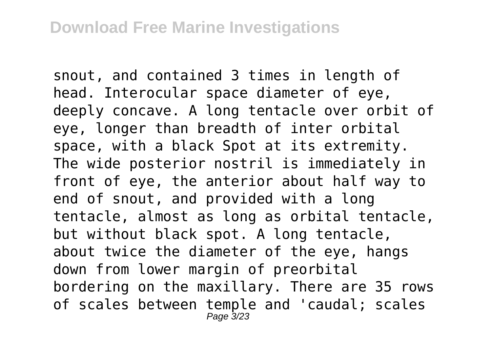snout, and contained 3 times in length of head. Interocular space diameter of eye, deeply concave. A long tentacle over orbit of eye, longer than breadth of inter orbital space, with a black Spot at its extremity. The wide posterior nostril is immediately in front of eye, the anterior about half way to end of snout, and provided with a long tentacle, almost as long as orbital tentacle, but without black spot. A long tentacle, about twice the diameter of the eye, hangs down from lower margin of preorbital bordering on the maxillary. There are 35 rows of scales between temple and 'caudal; scales Page 3/23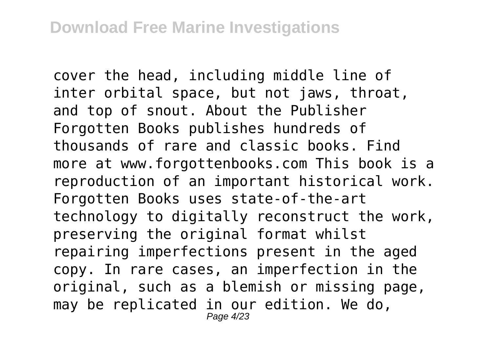cover the head, including middle line of inter orbital space, but not jaws, throat, and top of snout. About the Publisher Forgotten Books publishes hundreds of thousands of rare and classic books. Find more at www.forgottenbooks.com This book is a reproduction of an important historical work. Forgotten Books uses state-of-the-art technology to digitally reconstruct the work, preserving the original format whilst repairing imperfections present in the aged copy. In rare cases, an imperfection in the original, such as a blemish or missing page, may be replicated in our edition. We do, Page 4/23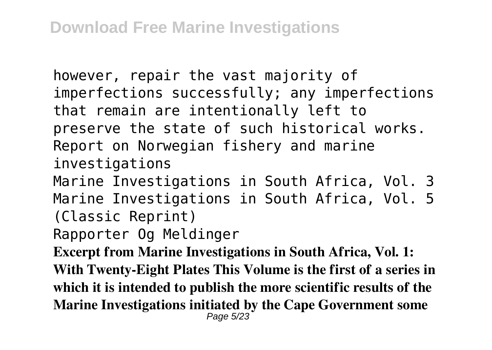however, repair the vast majority of imperfections successfully; any imperfections that remain are intentionally left to preserve the state of such historical works. Report on Norwegian fishery and marine investigations

Marine Investigations in South Africa, Vol. 3 Marine Investigations in South Africa, Vol. 5 (Classic Reprint)

Rapporter Og Meldinger

**Excerpt from Marine Investigations in South Africa, Vol. 1: With Twenty-Eight Plates This Volume is the first of a series in which it is intended to publish the more scientific results of the Marine Investigations initiated by the Cape Government some** Page 5/23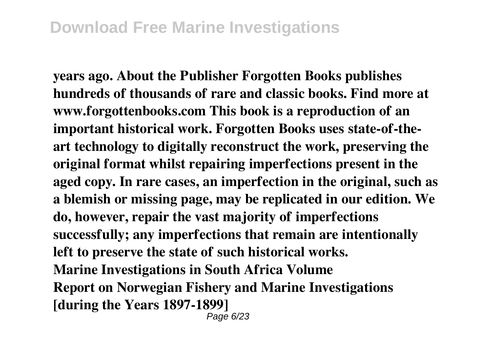**years ago. About the Publisher Forgotten Books publishes hundreds of thousands of rare and classic books. Find more at www.forgottenbooks.com This book is a reproduction of an important historical work. Forgotten Books uses state-of-theart technology to digitally reconstruct the work, preserving the original format whilst repairing imperfections present in the aged copy. In rare cases, an imperfection in the original, such as a blemish or missing page, may be replicated in our edition. We do, however, repair the vast majority of imperfections successfully; any imperfections that remain are intentionally left to preserve the state of such historical works. Marine Investigations in South Africa Volume Report on Norwegian Fishery and Marine Investigations [during the Years 1897-1899]**

Page 6/23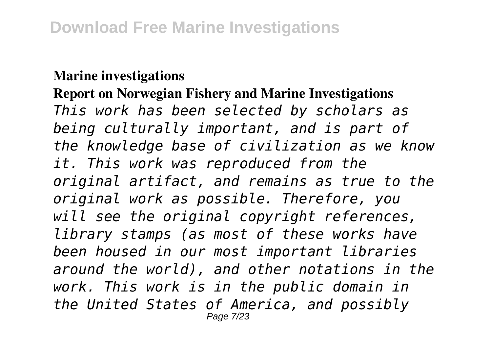#### **Marine investigations**

**Report on Norwegian Fishery and Marine Investigations** *This work has been selected by scholars as being culturally important, and is part of the knowledge base of civilization as we know it. This work was reproduced from the original artifact, and remains as true to the original work as possible. Therefore, you will see the original copyright references, library stamps (as most of these works have been housed in our most important libraries around the world), and other notations in the work. This work is in the public domain in the United States of America, and possibly* Page 7/23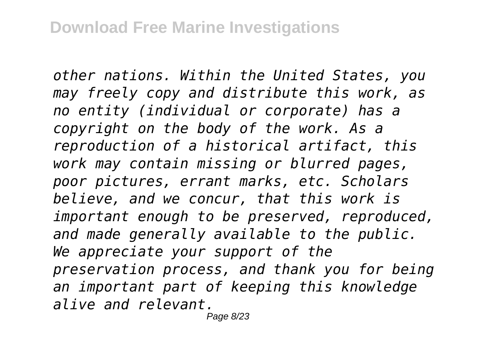*other nations. Within the United States, you may freely copy and distribute this work, as no entity (individual or corporate) has a copyright on the body of the work. As a reproduction of a historical artifact, this work may contain missing or blurred pages, poor pictures, errant marks, etc. Scholars believe, and we concur, that this work is important enough to be preserved, reproduced, and made generally available to the public. We appreciate your support of the preservation process, and thank you for being an important part of keeping this knowledge alive and relevant.*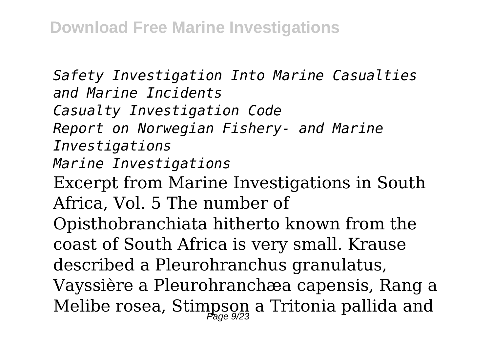*Safety Investigation Into Marine Casualties and Marine Incidents Casualty Investigation Code Report on Norwegian Fishery- and Marine Investigations Marine Investigations* Excerpt from Marine Investigations in South Africa, Vol. 5 The number of Opisthobranchiata hitherto known from the coast of South Africa is very small. Krause described a Pleurohranchus granulatus, Vayssière a Pleurohranchæa capensis, Rang a Melibe rosea, Stimpson a Tritonia pallida and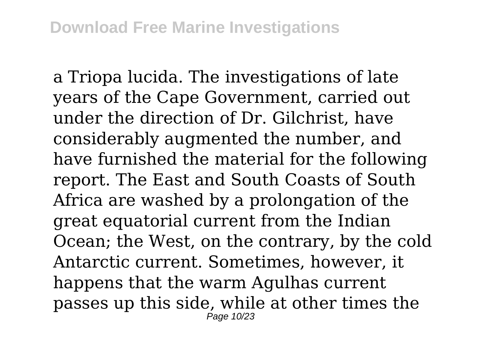a Triopa lucida. The investigations of late years of the Cape Government, carried out under the direction of Dr. Gilchrist, have considerably augmented the number, and have furnished the material for the following report. The East and South Coasts of South Africa are washed by a prolongation of the great equatorial current from the Indian Ocean; the West, on the contrary, by the cold Antarctic current. Sometimes, however, it happens that the warm Agulhas current passes up this side, while at other times the Page 10/23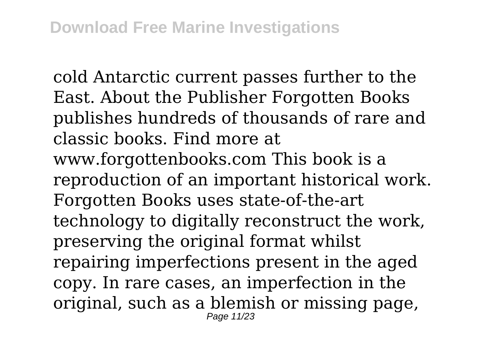cold Antarctic current passes further to the East. About the Publisher Forgotten Books publishes hundreds of thousands of rare and classic books. Find more at www.forgottenbooks.com This book is a reproduction of an important historical work. Forgotten Books uses state-of-the-art technology to digitally reconstruct the work, preserving the original format whilst repairing imperfections present in the aged copy. In rare cases, an imperfection in the original, such as a blemish or missing page, Page 11/23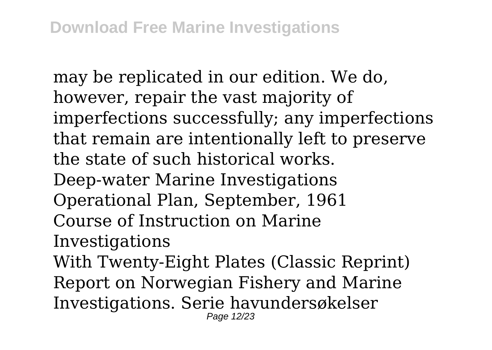may be replicated in our edition. We do, however, repair the vast majority of imperfections successfully; any imperfections that remain are intentionally left to preserve the state of such historical works. Deep-water Marine Investigations Operational Plan, September, 1961 Course of Instruction on Marine Investigations With Twenty-Eight Plates (Classic Reprint) Report on Norwegian Fishery and Marine Investigations. Serie havundersøkelser Page 12/23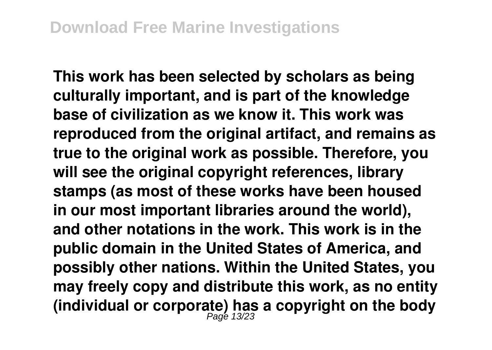**This work has been selected by scholars as being culturally important, and is part of the knowledge base of civilization as we know it. This work was reproduced from the original artifact, and remains as true to the original work as possible. Therefore, you will see the original copyright references, library stamps (as most of these works have been housed in our most important libraries around the world), and other notations in the work. This work is in the public domain in the United States of America, and possibly other nations. Within the United States, you may freely copy and distribute this work, as no entity (individual or corporate) has a copyright on the body** Page 13/23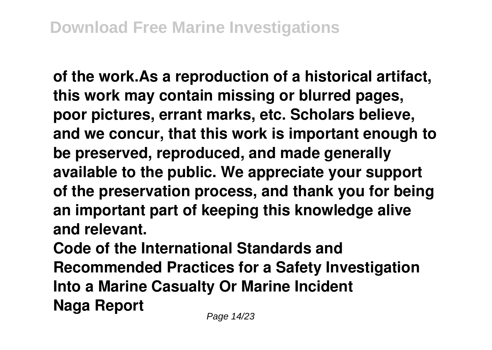**of the work.As a reproduction of a historical artifact, this work may contain missing or blurred pages, poor pictures, errant marks, etc. Scholars believe, and we concur, that this work is important enough to be preserved, reproduced, and made generally available to the public. We appreciate your support of the preservation process, and thank you for being an important part of keeping this knowledge alive and relevant.**

**Code of the International Standards and Recommended Practices for a Safety Investigation Into a Marine Casualty Or Marine Incident Naga Report**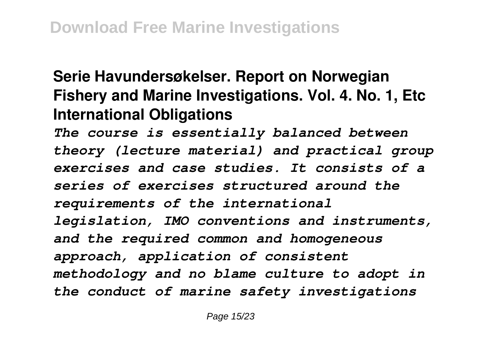# **Serie Havundersøkelser. Report on Norwegian Fishery and Marine Investigations. Vol. 4. No. 1, Etc International Obligations**

*The course is essentially balanced between theory (lecture material) and practical group exercises and case studies. It consists of a series of exercises structured around the requirements of the international legislation, IMO conventions and instruments, and the required common and homogeneous approach, application of consistent methodology and no blame culture to adopt in the conduct of marine safety investigations*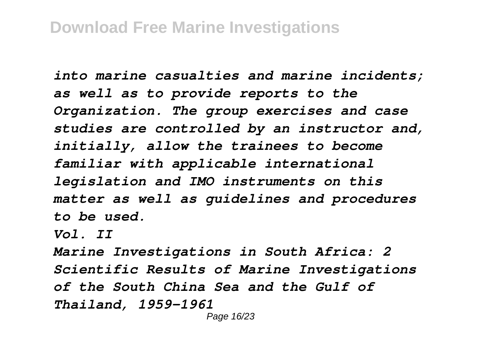*into marine casualties and marine incidents; as well as to provide reports to the Organization. The group exercises and case studies are controlled by an instructor and, initially, allow the trainees to become familiar with applicable international legislation and IMO instruments on this matter as well as guidelines and procedures to be used.*

*Vol. II*

*Marine Investigations in South Africa: 2 Scientific Results of Marine Investigations of the South China Sea and the Gulf of Thailand, 1959-1961*

Page 16/23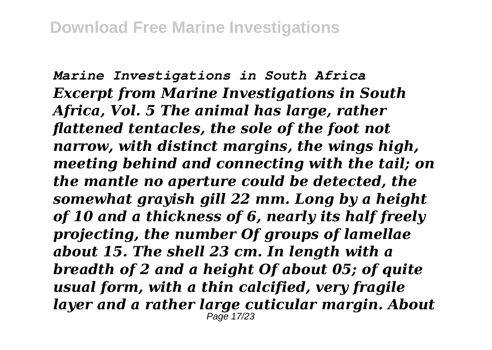*Marine Investigations in South Africa Excerpt from Marine Investigations in South Africa, Vol. 5 The animal has large, rather flattened tentacles, the sole of the foot not narrow, with distinct margins, the wings high, meeting behind and connecting with the tail; on the mantle no aperture could be detected, the somewhat grayish gill 22 mm. Long by a height of 10 and a thickness of 6, nearly its half freely projecting, the number Of groups of lamellae about 15. The shell 23 cm. In length with a breadth of 2 and a height Of about 05; of quite usual form, with a thin calcified, very fragile layer and a rather large cuticular margin. About* Page 17/23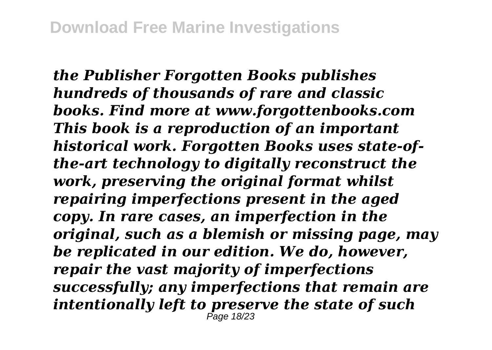*the Publisher Forgotten Books publishes hundreds of thousands of rare and classic books. Find more at www.forgottenbooks.com This book is a reproduction of an important historical work. Forgotten Books uses state-ofthe-art technology to digitally reconstruct the work, preserving the original format whilst repairing imperfections present in the aged copy. In rare cases, an imperfection in the original, such as a blemish or missing page, may be replicated in our edition. We do, however, repair the vast majority of imperfections successfully; any imperfections that remain are intentionally left to preserve the state of such* Page 18/23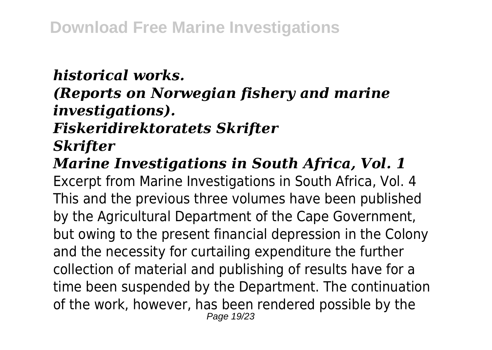#### *historical works.*

### *(Reports on Norwegian fishery and marine investigations).*

# *Fiskeridirektoratets Skrifter*

### *Skrifter*

## *Marine Investigations in South Africa, Vol. 1*

Excerpt from Marine Investigations in South Africa, Vol. 4 This and the previous three volumes have been published by the Agricultural Department of the Cape Government, but owing to the present financial depression in the Colony and the necessity for curtailing expenditure the further collection of material and publishing of results have for a time been suspended by the Department. The continuation of the work, however, has been rendered possible by the Page 19/23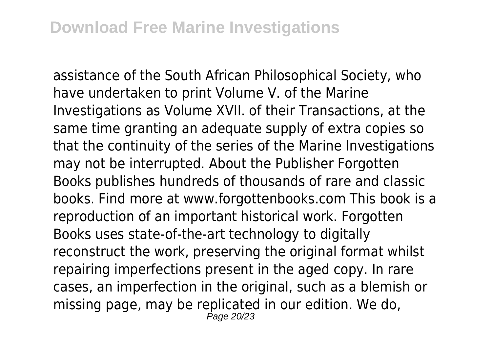assistance of the South African Philosophical Society, who have undertaken to print Volume V. of the Marine Investigations as Volume XVII. of their Transactions, at the same time granting an adequate supply of extra copies so that the continuity of the series of the Marine Investigations may not be interrupted. About the Publisher Forgotten Books publishes hundreds of thousands of rare and classic books. Find more at www.forgottenbooks.com This book is a reproduction of an important historical work. Forgotten Books uses state-of-the-art technology to digitally reconstruct the work, preserving the original format whilst repairing imperfections present in the aged copy. In rare cases, an imperfection in the original, such as a blemish or missing page, may be replicated in our edition. We do, Page 20/23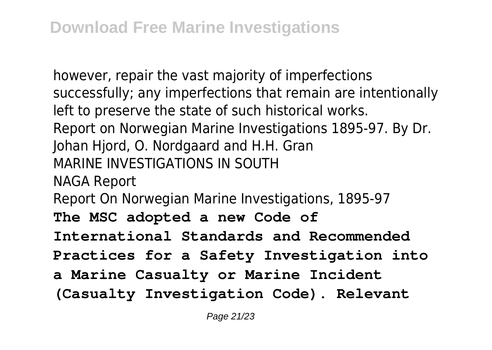however, repair the vast majority of imperfections successfully; any imperfections that remain are intentionally left to preserve the state of such historical works. Report on Norwegian Marine Investigations 1895-97. By Dr. Johan Hjord, O. Nordgaard and H.H. Gran MARINE INVESTIGATIONS IN SOUTH NAGA Report Report On Norwegian Marine Investigations, 1895-97 **The MSC adopted a new Code of International Standards and Recommended Practices for a Safety Investigation into a Marine Casualty or Marine Incident (Casualty Investigation Code). Relevant**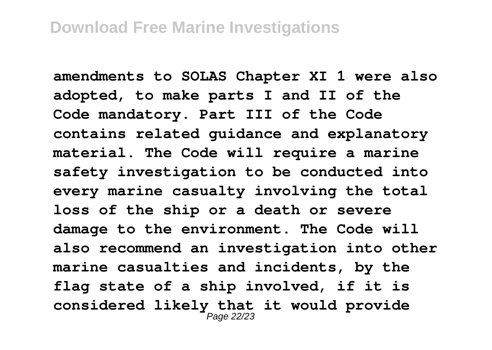**amendments to SOLAS Chapter XI 1 were also adopted, to make parts I and II of the Code mandatory. Part III of the Code contains related guidance and explanatory material. The Code will require a marine safety investigation to be conducted into every marine casualty involving the total loss of the ship or a death or severe damage to the environment. The Code will also recommend an investigation into other marine casualties and incidents, by the flag state of a ship involved, if it is considered likely that it would provide** Page 22/23